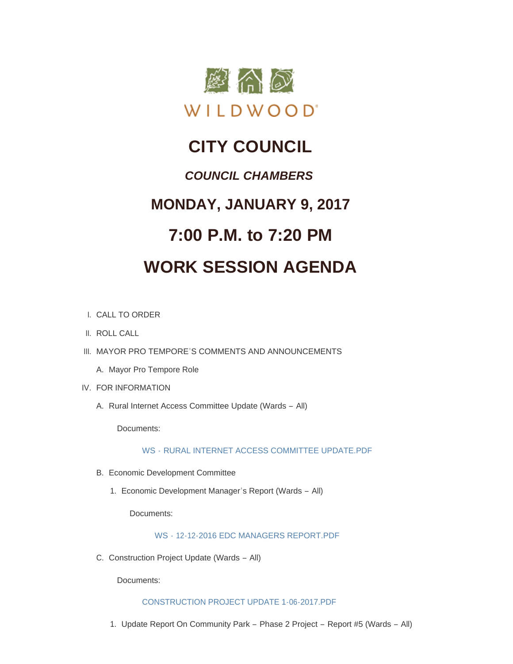

# **CITY COUNCIL** *COUNCIL CHAMBERS* **MONDAY, JANUARY 9, 2017 7:00 P.M. to 7:20 PM WORK SESSION AGENDA**

- CALL TO ORDER I.
- II. ROLL CALL
- III. MAYOR PRO TEMPORE'S COMMENTS AND ANNOUNCEMENTS
	- A. Mayor Pro Tempore Role
- IV. FOR INFORMATION
	- A. Rural Internet Access Committee Update (Wards All)

Documents:

WS - [RURAL INTERNET ACCESS COMMITTEE UPDATE.PDF](http://cityofwildwood.com/AgendaCenter/ViewFile/Item/9399?fileID=13741)

- Economic Development Committee B.
	- 1. Economic Development Manager's Report (Wards All)

Documents:

WS - [12-12-2016 EDC MANAGERS REPORT.PDF](http://cityofwildwood.com/AgendaCenter/ViewFile/Item/9401?fileID=13737)

C. Construction Project Update (Wards - All)

Documents:

## [CONSTRUCTION PROJECT UPDATE 1-06-2017.PDF](http://cityofwildwood.com/AgendaCenter/ViewFile/Item/9402?fileID=13751)

1. Update Report On Community Park - Phase 2 Project - Report #5 (Wards - All)